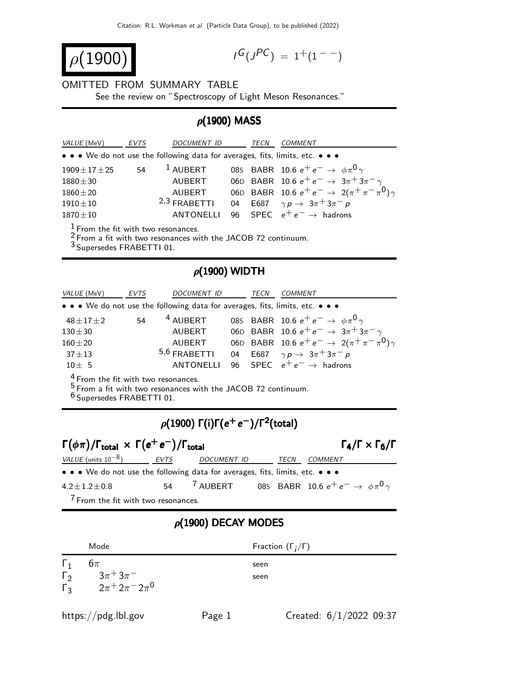$$
\rho(1900)
$$

$$
I^G(J^{PC}) = 1^+(1^{--})
$$

#### OMITTED FROM SUMMARY TABLE

See the review on "Spectroscopy of Light Meson Resonances."

## $ρ(1900)$  MASS

| <i>VALUE</i> (MeV)   | <b>EVTS</b> | <b>DOCUMENT ID</b>                                                            | TECN | <b>COMMENT</b>                                              |
|----------------------|-------------|-------------------------------------------------------------------------------|------|-------------------------------------------------------------|
|                      |             | • • • We do not use the following data for averages, fits, limits, etc. • • • |      |                                                             |
| $1909 \pm 17 \pm 25$ | 54          | $1$ AUBERT                                                                    |      | 085 BABR 10.6 $e^+e^- \to \phi \pi^0 \gamma$                |
| $1880 \pm 30$        |             | AUBERT                                                                        |      | 06D BABR 10.6 $e^+e^- \rightarrow 3\pi^+3\pi^- \gamma$      |
| $1860 \pm 20$        |             | AUBERT                                                                        |      | 06D BABR 10.6 $e^+e^- \rightarrow 2(\pi^+\pi^-\pi^0)\gamma$ |
| $1910 \pm 10$        |             | $2,3$ FRABETTI                                                                |      | 04 E687 $\gamma p \to 3\pi^+ 3\pi^- p$                      |
| $1870 \pm 10$        |             | <b>ANTONELLI</b>                                                              |      | 96 SPEC $e^+e^- \rightarrow$ hadrons                        |
|                      |             |                                                                               |      |                                                             |

 $\frac{1}{6}$  From the fit with two resonances.

 $2$  From a fit with two resonances with the JACOB 72 continuum.

3 Supersedes FRABETTI 01.

## $\rho$ (1900) WIDTH

| VALUE (MeV)       | EVTS | <b>DOCUMENT ID</b>                                                            | TECN | <b>COMMENT</b>                                              |
|-------------------|------|-------------------------------------------------------------------------------|------|-------------------------------------------------------------|
|                   |      | • • • We do not use the following data for averages, fits, limits, etc. • • • |      |                                                             |
| $48 \pm 17 \pm 2$ | 54   | <sup>4</sup> AUBERT                                                           |      | 085 BABR 10.6 $e^+e^- \to \phi \pi^0 \gamma$                |
| $130 + 30$        |      | AUBERT                                                                        |      | 06D BABR 10.6 $e^+e^- \rightarrow 3\pi + 3\pi - \gamma$     |
| $160 + 20$        |      | AUBERT                                                                        |      | 06D BABR 10.6 $e^+e^- \rightarrow 2(\pi^+\pi^-\pi^0)\gamma$ |
| $37 + 13$         |      | $5,6$ FRABETTI                                                                |      | 04 E687 $\gamma p \to 3\pi^+ 3\pi^- p$                      |
| $10 \pm 5$        |      | <b>ANTONELLI</b>                                                              |      | 96 SPEC $e^+e^- \rightarrow$ hadrons                        |
| $\overline{a}$    |      |                                                                               |      |                                                             |

 $\frac{4}{5}$  From the fit with two resonances.

 $\frac{5}{5}$  From a fit with two resonances with the JACOB 72 continuum.

6 Supersedes FRABETTI 01.

# $\rho(1900)$  Γ(i)Γ $(e^+e^-)/$ Γ $^2$ (total)

| $\Gamma(\phi \pi)/\Gamma_{\text{total}} \times \Gamma(e^+e^-)/\Gamma_{\text{total}}$ |      |                                                                          |      |                | $\Gamma_4/\Gamma \times \Gamma_6/\Gamma$ |
|--------------------------------------------------------------------------------------|------|--------------------------------------------------------------------------|------|----------------|------------------------------------------|
| <i>VALUE</i> (units $10^{-8}$ )                                                      | EVTS | DOCUMENT ID                                                              | TECN | <i>COMMENT</i> |                                          |
| • • • We do not use the following data for averages, fits, limits, etc. • • •        |      |                                                                          |      |                |                                          |
| $4.2 \pm 1.2 \pm 0.8$                                                                | 54   | <sup>7</sup> AUBERT 085 BABR 10.6 $e^+e^- \rightarrow \phi \pi^0 \gamma$ |      |                |                                          |
| $\overline{7}$ , and the state $\overline{7}$                                        |      |                                                                          |      |                |                                          |

 $\sqrt{2}$  From the fit with two resonances.

#### $ρ(1900)$  DECAY MODES

|                              | Mode                                      | Fraction $(\Gamma_i/\Gamma)$ |
|------------------------------|-------------------------------------------|------------------------------|
| $\vert$ 1                    | $6\pi$                                    | seen                         |
| $\Gamma_{2}$<br>$\Gamma_{3}$ | $\frac{3\pi^+3\pi^-}{2\pi^+2\pi^-2\pi^0}$ | seen                         |
|                              |                                           |                              |